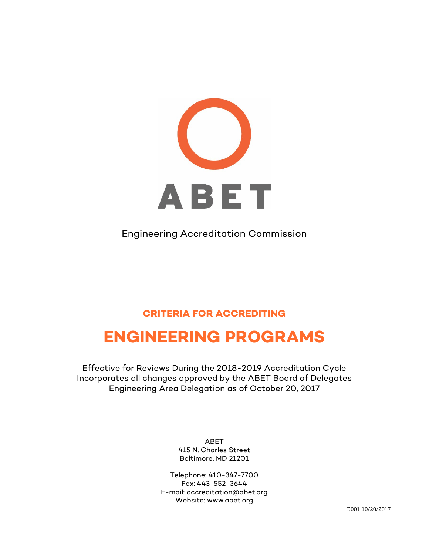

Engineering Accreditation Commission

## **CRITERIA FOR ACCREDITING**

# **ENGINEERING PROGRAMS**

Effective for Reviews During the 2018-2019 Accreditation Cycle Incorporates all changes approved by the ABET Board of Delegates Engineering Area Delegation as of October 20, 2017

> ABET 415 N. Charles Street Baltimore, MD 21201

Telephone: 410-347-7700 Fax: 443-552-3644 E-mail: accreditation@abet.org Website: www.abet.org

E001 10/20/2017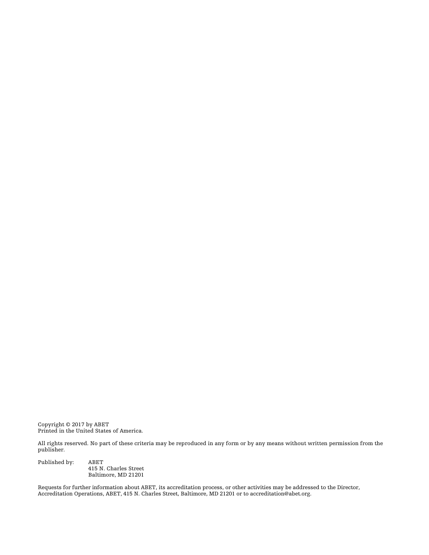Copyright © 2017 by ABET Printed in the United States of America.

All rights reserved. No part of these criteria may be reproduced in any form or by any means without written permission from the publisher.

Published by: ABET 415 N. Charles Street Baltimore, MD 21201

Requests for further information about ABET, its accreditation process, or other activities may be addressed to the Director, Accreditation Operations, ABET, 415 N. Charles Street, Baltimore, MD 21201 or to accreditation@abet.org.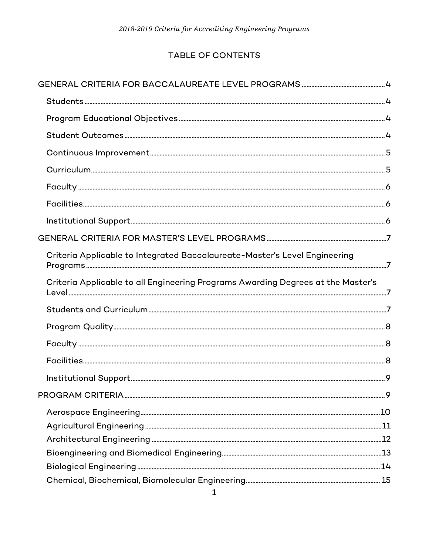## TABLE OF CONTENTS

| Criteria Applicable to Integrated Baccalaureate-Master's Level Engineering       |  |
|----------------------------------------------------------------------------------|--|
| Criteria Applicable to all Engineering Programs Awarding Degrees at the Master's |  |
|                                                                                  |  |
|                                                                                  |  |
|                                                                                  |  |
|                                                                                  |  |
|                                                                                  |  |
|                                                                                  |  |
|                                                                                  |  |
|                                                                                  |  |
|                                                                                  |  |
|                                                                                  |  |
|                                                                                  |  |
|                                                                                  |  |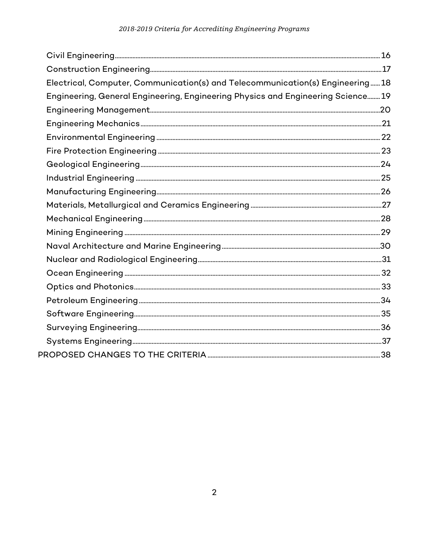| Electrical, Computer, Communication(s) and Telecommunication(s) Engineering18    |  |
|----------------------------------------------------------------------------------|--|
| Engineering, General Engineering, Engineering Physics and Engineering Science 19 |  |
|                                                                                  |  |
|                                                                                  |  |
|                                                                                  |  |
|                                                                                  |  |
|                                                                                  |  |
|                                                                                  |  |
|                                                                                  |  |
|                                                                                  |  |
|                                                                                  |  |
|                                                                                  |  |
|                                                                                  |  |
|                                                                                  |  |
|                                                                                  |  |
|                                                                                  |  |
|                                                                                  |  |
|                                                                                  |  |
|                                                                                  |  |
|                                                                                  |  |
|                                                                                  |  |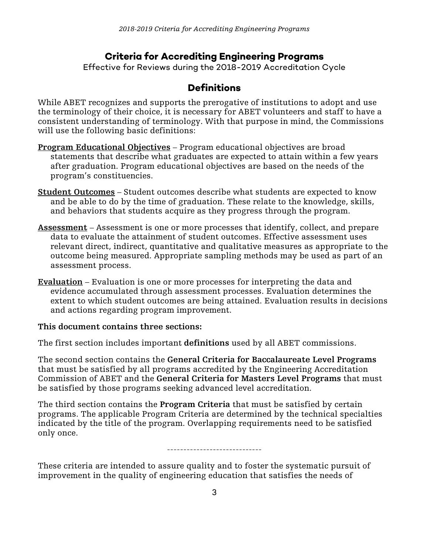## **Criteria for Accrediting Engineering Programs**

Effective for Reviews during the 2018-2019 Accreditation Cycle

## **Definitions**

While ABET recognizes and supports the prerogative of institutions to adopt and use the terminology of their choice, it is necessary for ABET volunteers and staff to have a consistent understanding of terminology. With that purpose in mind, the Commissions will use the following basic definitions:

- **Program Educational Objectives** Program educational objectives are broad statements that describe what graduates are expected to attain within a few years after graduation. Program educational objectives are based on the needs of the program's constituencies.
- **Student Outcomes** Student outcomes describe what students are expected to know and be able to do by the time of graduation. These relate to the knowledge, skills, and behaviors that students acquire as they progress through the program.
- **Assessment** Assessment is one or more processes that identify, collect, and prepare data to evaluate the attainment of student outcomes. Effective assessment uses relevant direct, indirect, quantitative and qualitative measures as appropriate to the outcome being measured. Appropriate sampling methods may be used as part of an assessment process.
- **Evaluation** Evaluation is one or more processes for interpreting the data and evidence accumulated through assessment processes. Evaluation determines the extent to which student outcomes are being attained. Evaluation results in decisions and actions regarding program improvement.

## **This document contains three sections:**

The first section includes important **definitions** used by all ABET commissions.

The second section contains the **General Criteria for Baccalaureate Level Programs** that must be satisfied by all programs accredited by the Engineering Accreditation Commission of ABET and the **General Criteria for Masters Level Programs** that must be satisfied by those programs seeking advanced level accreditation.

The third section contains the **Program Criteria** that must be satisfied by certain programs. The applicable Program Criteria are determined by the technical specialties indicated by the title of the program. Overlapping requirements need to be satisfied only once.

#### -----------------------------

These criteria are intended to assure quality and to foster the systematic pursuit of improvement in the quality of engineering education that satisfies the needs of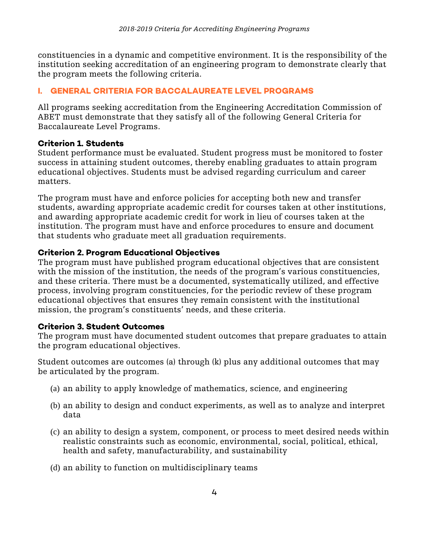constituencies in a dynamic and competitive environment. It is the responsibility of the institution seeking accreditation of an engineering program to demonstrate clearly that the program meets the following criteria.

## <span id="page-5-0"></span>**I. GENERAL CRITERIA FOR BACCALAUREATE LEVEL PROGRAMS**

All programs seeking accreditation from the Engineering Accreditation Commission of ABET must demonstrate that they satisfy all of the following General Criteria for Baccalaureate Level Programs.

## <span id="page-5-1"></span>**Criterion 1. Students**

Student performance must be evaluated. Student progress must be monitored to foster success in attaining student outcomes, thereby enabling graduates to attain program educational objectives. Students must be advised regarding curriculum and career matters.

The program must have and enforce policies for accepting both new and transfer students, awarding appropriate academic credit for courses taken at other institutions, and awarding appropriate academic credit for work in lieu of courses taken at the institution. The program must have and enforce procedures to ensure and document that students who graduate meet all graduation requirements.

## <span id="page-5-2"></span>**Criterion 2. Program Educational Objectives**

The program must have published program educational objectives that are consistent with the mission of the institution, the needs of the program's various constituencies, and these criteria. There must be a documented, systematically utilized, and effective process, involving program constituencies, for the periodic review of these program educational objectives that ensures they remain consistent with the institutional mission, the program's constituents' needs, and these criteria.

## <span id="page-5-3"></span>**Criterion 3. Student Outcomes**

The program must have documented student outcomes that prepare graduates to attain the program educational objectives.

Student outcomes are outcomes (a) through (k) plus any additional outcomes that may be articulated by the program.

- (a) an ability to apply knowledge of mathematics, science, and engineering
- (b) an ability to design and conduct experiments, as well as to analyze and interpret data
- (c) an ability to design a system, component, or process to meet desired needs within realistic constraints such as economic, environmental, social, political, ethical, health and safety, manufacturability, and sustainability
- (d) an ability to function on multidisciplinary teams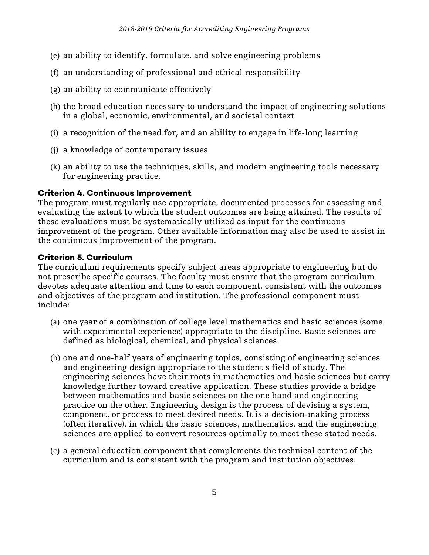- (e) an ability to identify, formulate, and solve engineering problems
- (f) an understanding of professional and ethical responsibility
- (g) an ability to communicate effectively
- (h) the broad education necessary to understand the impact of engineering solutions in a global, economic, environmental, and societal context
- (i) a recognition of the need for, and an ability to engage in life-long learning
- (j) a knowledge of contemporary issues
- (k) an ability to use the techniques, skills, and modern engineering tools necessary for engineering practice.

## <span id="page-6-0"></span>**Criterion 4. Continuous Improvement**

The program must regularly use appropriate, documented processes for assessing and evaluating the extent to which the student outcomes are being attained. The results of these evaluations must be systematically utilized as input for the continuous improvement of the program. Other available information may also be used to assist in the continuous improvement of the program.

## <span id="page-6-1"></span>**Criterion 5. Curriculum**

The curriculum requirements specify subject areas appropriate to engineering but do not prescribe specific courses. The faculty must ensure that the program curriculum devotes adequate attention and time to each component, consistent with the outcomes and objectives of the program and institution. The professional component must include:

- (a) one year of a combination of college level mathematics and basic sciences (some with experimental experience) appropriate to the discipline. Basic sciences are defined as biological, chemical, and physical sciences.
- (b) one and one-half years of engineering topics, consisting of engineering sciences and engineering design appropriate to the student's field of study. The engineering sciences have their roots in mathematics and basic sciences but carry knowledge further toward creative application. These studies provide a bridge between mathematics and basic sciences on the one hand and engineering practice on the other. Engineering design is the process of devising a system, component, or process to meet desired needs. It is a decision-making process (often iterative), in which the basic sciences, mathematics, and the engineering sciences are applied to convert resources optimally to meet these stated needs.
- (c) a general education component that complements the technical content of the curriculum and is consistent with the program and institution objectives.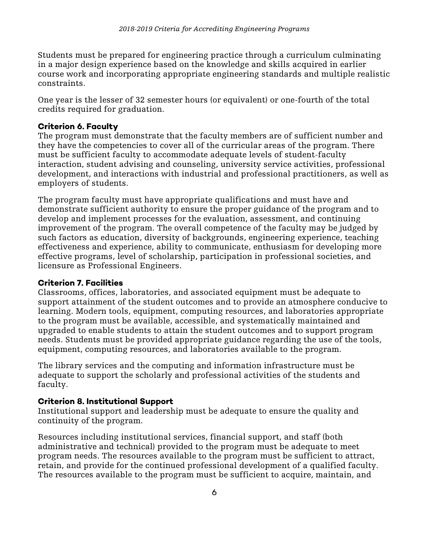Students must be prepared for engineering practice through a curriculum culminating in a major design experience based on the knowledge and skills acquired in earlier course work and incorporating appropriate engineering standards and multiple realistic constraints.

One year is the lesser of 32 semester hours (or equivalent) or one-fourth of the total credits required for graduation.

## <span id="page-7-0"></span>**Criterion 6. Faculty**

The program must demonstrate that the faculty members are of sufficient number and they have the competencies to cover all of the curricular areas of the program. There must be sufficient faculty to accommodate adequate levels of student-faculty interaction, student advising and counseling, university service activities, professional development, and interactions with industrial and professional practitioners, as well as employers of students.

The program faculty must have appropriate qualifications and must have and demonstrate sufficient authority to ensure the proper guidance of the program and to develop and implement processes for the evaluation, assessment, and continuing improvement of the program. The overall competence of the faculty may be judged by such factors as education, diversity of backgrounds, engineering experience, teaching effectiveness and experience, ability to communicate, enthusiasm for developing more effective programs, level of scholarship, participation in professional societies, and licensure as Professional Engineers.

## <span id="page-7-1"></span>**Criterion 7. Facilities**

Classrooms, offices, laboratories, and associated equipment must be adequate to support attainment of the student outcomes and to provide an atmosphere conducive to learning. Modern tools, equipment, computing resources, and laboratories appropriate to the program must be available, accessible, and systematically maintained and upgraded to enable students to attain the student outcomes and to support program needs. Students must be provided appropriate guidance regarding the use of the tools, equipment, computing resources, and laboratories available to the program.

The library services and the computing and information infrastructure must be adequate to support the scholarly and professional activities of the students and faculty.

## <span id="page-7-2"></span>**Criterion 8. Institutional Support**

Institutional support and leadership must be adequate to ensure the quality and continuity of the program.

Resources including institutional services, financial support, and staff (both administrative and technical) provided to the program must be adequate to meet program needs. The resources available to the program must be sufficient to attract, retain, and provide for the continued professional development of a qualified faculty. The resources available to the program must be sufficient to acquire, maintain, and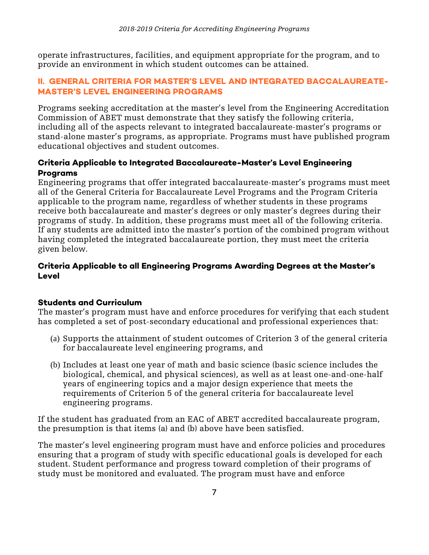operate infrastructures, facilities, and equipment appropriate for the program, and to provide an environment in which student outcomes can be attained.

## <span id="page-8-0"></span>**II. GENERAL CRITERIA FOR MASTER'S LEVEL AND INTEGRATED BACCALAUREATE-MASTER'S LEVEL ENGINEERING PROGRAMS**

Programs seeking accreditation at the master's level from the Engineering Accreditation Commission of ABET must demonstrate that they satisfy the following criteria, including all of the aspects relevant to integrated baccalaureate-master's programs or stand-alone master's programs, as appropriate. Programs must have published program educational objectives and student outcomes.

## <span id="page-8-1"></span>**Criteria Applicable to Integrated Baccalaureate-Master's Level Engineering Programs**

Engineering programs that offer integrated baccalaureate-master's programs must meet all of the General Criteria for Baccalaureate Level Programs and the Program Criteria applicable to the program name, regardless of whether students in these programs receive both baccalaureate and master's degrees or only master's degrees during their programs of study. In addition, these programs must meet all of the following criteria. If any students are admitted into the master's portion of the combined program without having completed the integrated baccalaureate portion, they must meet the criteria given below.

## <span id="page-8-2"></span>**Criteria Applicable to all Engineering Programs Awarding Degrees at the Master's Level**

## <span id="page-8-3"></span>**Students and Curriculum**

The master's program must have and enforce procedures for verifying that each student has completed a set of post-secondary educational and professional experiences that:

- (a) Supports the attainment of student outcomes of Criterion 3 of the general criteria for baccalaureate level engineering programs, and
- (b) Includes at least one year of math and basic science (basic science includes the biological, chemical, and physical sciences), as well as at least one-and-one-half years of engineering topics and a major design experience that meets the requirements of Criterion 5 of the general criteria for baccalaureate level engineering programs.

If the student has graduated from an EAC of ABET accredited baccalaureate program, the presumption is that items (a) and (b) above have been satisfied.

The master's level engineering program must have and enforce policies and procedures ensuring that a program of study with specific educational goals is developed for each student. Student performance and progress toward completion of their programs of study must be monitored and evaluated. The program must have and enforce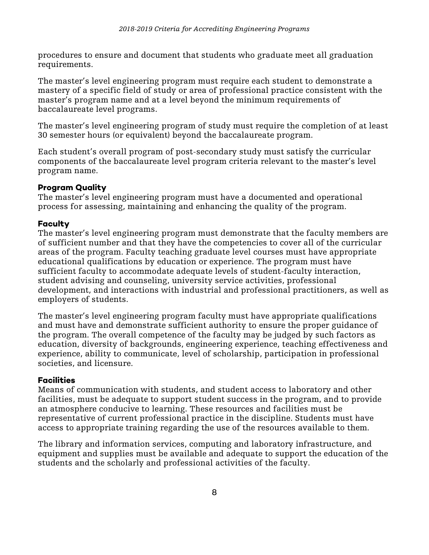procedures to ensure and document that students who graduate meet all graduation requirements.

The master's level engineering program must require each student to demonstrate a mastery of a specific field of study or area of professional practice consistent with the master's program name and at a level beyond the minimum requirements of baccalaureate level programs.

The master's level engineering program of study must require the completion of at least 30 semester hours (or equivalent) beyond the baccalaureate program.

Each student's overall program of post-secondary study must satisfy the curricular components of the baccalaureate level program criteria relevant to the master's level program name.

## <span id="page-9-0"></span>**Program Quality**

The master's level engineering program must have a documented and operational process for assessing, maintaining and enhancing the quality of the program.

## <span id="page-9-1"></span>**Faculty**

The master's level engineering program must demonstrate that the faculty members are of sufficient number and that they have the competencies to cover all of the curricular areas of the program. Faculty teaching graduate level courses must have appropriate educational qualifications by education or experience. The program must have sufficient faculty to accommodate adequate levels of student-faculty interaction, student advising and counseling, university service activities, professional development, and interactions with industrial and professional practitioners, as well as employers of students.

The master's level engineering program faculty must have appropriate qualifications and must have and demonstrate sufficient authority to ensure the proper guidance of the program. The overall competence of the faculty may be judged by such factors as education, diversity of backgrounds, engineering experience, teaching effectiveness and experience, ability to communicate, level of scholarship, participation in professional societies, and licensure.

## <span id="page-9-2"></span>**Facilities**

Means of communication with students, and student access to laboratory and other facilities, must be adequate to support student success in the program, and to provide an atmosphere conducive to learning. These resources and facilities must be representative of current professional practice in the discipline. Students must have access to appropriate training regarding the use of the resources available to them.

The library and information services, computing and laboratory infrastructure, and equipment and supplies must be available and adequate to support the education of the students and the scholarly and professional activities of the faculty.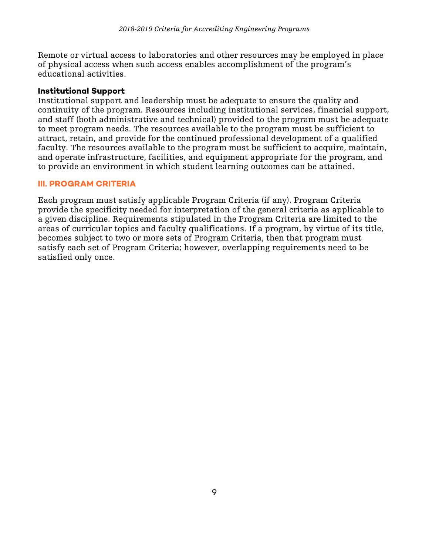Remote or virtual access to laboratories and other resources may be employed in place of physical access when such access enables accomplishment of the program's educational activities.

## <span id="page-10-0"></span>**Institutional Support**

Institutional support and leadership must be adequate to ensure the quality and continuity of the program. Resources including institutional services, financial support, and staff (both administrative and technical) provided to the program must be adequate to meet program needs. The resources available to the program must be sufficient to attract, retain, and provide for the continued professional development of a qualified faculty. The resources available to the program must be sufficient to acquire, maintain, and operate infrastructure, facilities, and equipment appropriate for the program, and to provide an environment in which student learning outcomes can be attained.

## <span id="page-10-1"></span>**III. PROGRAM CRITERIA**

Each program must satisfy applicable Program Criteria (if any). Program Criteria provide the specificity needed for interpretation of the general criteria as applicable to a given discipline. Requirements stipulated in the Program Criteria are limited to the areas of curricular topics and faculty qualifications. If a program, by virtue of its title, becomes subject to two or more sets of Program Criteria, then that program must satisfy each set of Program Criteria; however, overlapping requirements need to be satisfied only once.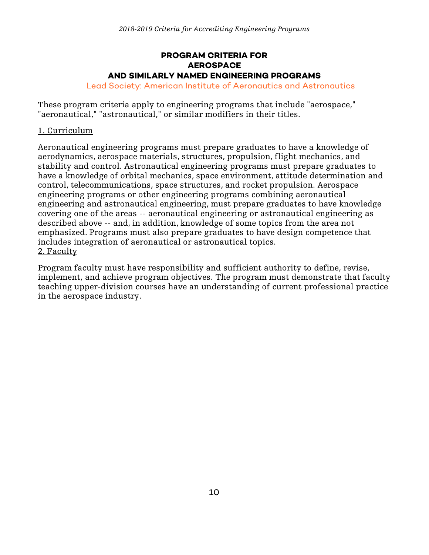#### **PROGRAM CRITERIA FOR AEROSPACE AND SIMILARLY NAMED ENGINEERING PROGRAMS**

Lead Society: American Institute of Aeronautics and Astronautics

<span id="page-11-0"></span>These program criteria apply to engineering programs that include "aerospace," "aeronautical," "astronautical," or similar modifiers in their titles.

## 1. Curriculum

Aeronautical engineering programs must prepare graduates to have a knowledge of aerodynamics, aerospace materials, structures, propulsion, flight mechanics, and stability and control. Astronautical engineering programs must prepare graduates to have a knowledge of orbital mechanics, space environment, attitude determination and control, telecommunications, space structures, and rocket propulsion. Aerospace engineering programs or other engineering programs combining aeronautical engineering and astronautical engineering, must prepare graduates to have knowledge covering one of the areas -- aeronautical engineering or astronautical engineering as described above -- and, in addition, knowledge of some topics from the area not emphasized. Programs must also prepare graduates to have design competence that includes integration of aeronautical or astronautical topics. 2. Faculty

Program faculty must have responsibility and sufficient authority to define, revise, implement, and achieve program objectives. The program must demonstrate that faculty teaching upper-division courses have an understanding of current professional practice in the aerospace industry.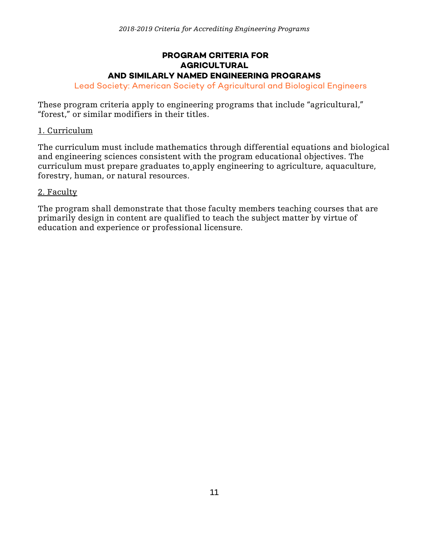#### <span id="page-12-0"></span>**PROGRAM CRITERIA FOR AGRICULTURAL AND SIMILARLY NAMED ENGINEERING PROGRAMS**

Lead Society: American Society of Agricultural and Biological Engineers

These program criteria apply to engineering programs that include "agricultural," "forest," or similar modifiers in their titles.

#### 1. Curriculum

The curriculum must include mathematics through differential equations and biological and engineering sciences consistent with the program educational objectives. The curriculum must prepare graduates to apply engineering to agriculture, aquaculture, forestry, human, or natural resources.

#### 2. Faculty

The program shall demonstrate that those faculty members teaching courses that are primarily design in content are qualified to teach the subject matter by virtue of education and experience or professional licensure.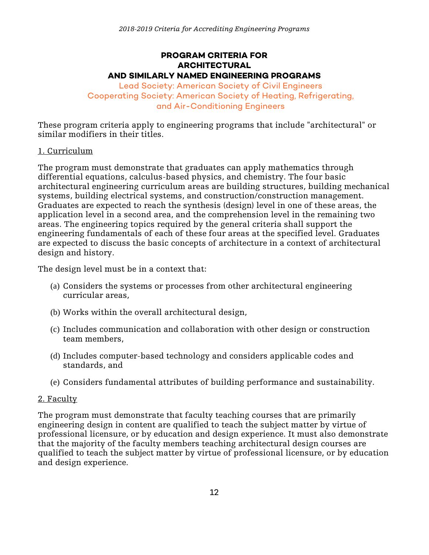#### **PROGRAM CRITERIA FOR ARCHITECTURAL AND SIMILARLY NAMED ENGINEERING PROGRAMS**

<span id="page-13-0"></span>Lead Society: American Society of Civil Engineers Cooperating Society: American Society of Heating, Refrigerating, and Air-Conditioning Engineers

These program criteria apply to engineering programs that include "architectural" or similar modifiers in their titles.

## 1. Curriculum

The program must demonstrate that graduates can apply mathematics through differential equations, calculus-based physics, and chemistry. The four basic architectural engineering curriculum areas are building structures, building mechanical systems, building electrical systems, and construction/construction management. Graduates are expected to reach the synthesis (design) level in one of these areas, the application level in a second area, and the comprehension level in the remaining two areas. The engineering topics required by the general criteria shall support the engineering fundamentals of each of these four areas at the specified level. Graduates are expected to discuss the basic concepts of architecture in a context of architectural design and history.

The design level must be in a context that:

- (a) Considers the systems or processes from other architectural engineering curricular areas,
- (b) Works within the overall architectural design,
- (c) Includes communication and collaboration with other design or construction team members,
- (d) Includes computer-based technology and considers applicable codes and standards, and
- (e) Considers fundamental attributes of building performance and sustainability.

## 2. Faculty

The program must demonstrate that faculty teaching courses that are primarily engineering design in content are qualified to teach the subject matter by virtue of professional licensure, or by education and design experience. It must also demonstrate that the majority of the faculty members teaching architectural design courses are qualified to teach the subject matter by virtue of professional licensure, or by education and design experience.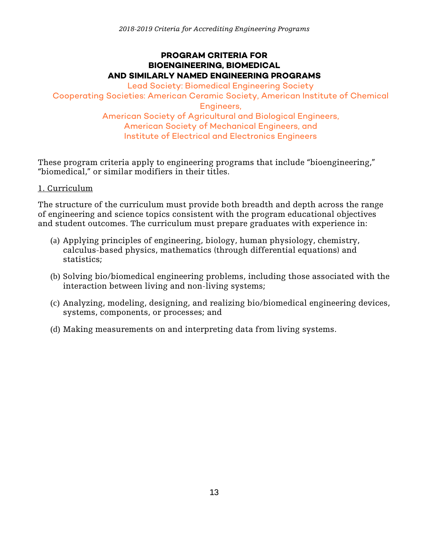#### **PROGRAM CRITERIA FOR BIOENGINEERING, BIOMEDICAL AND SIMILARLY NAMED ENGINEERING PROGRAMS**

<span id="page-14-0"></span>Lead Society: Biomedical Engineering Society Cooperating Societies: American Ceramic Society, American Institute of Chemical Engineers, American Society of Agricultural and Biological Engineers, American Society of Mechanical Engineers, and Institute of Electrical and Electronics Engineers

These program criteria apply to engineering programs that include "bioengineering," "biomedical," or similar modifiers in their titles.

## 1. Curriculum

The structure of the curriculum must provide both breadth and depth across the range of engineering and science topics consistent with the program educational objectives and student outcomes. The curriculum must prepare graduates with experience in:

- (a) Applying principles of engineering, biology, human physiology, chemistry, calculus-based physics, mathematics (through differential equations) and statistics;
- (b) Solving bio/biomedical engineering problems, including those associated with the interaction between living and non-living systems;
- (c) Analyzing, modeling, designing, and realizing bio/biomedical engineering devices, systems, components, or processes; and
- (d) Making measurements on and interpreting data from living systems.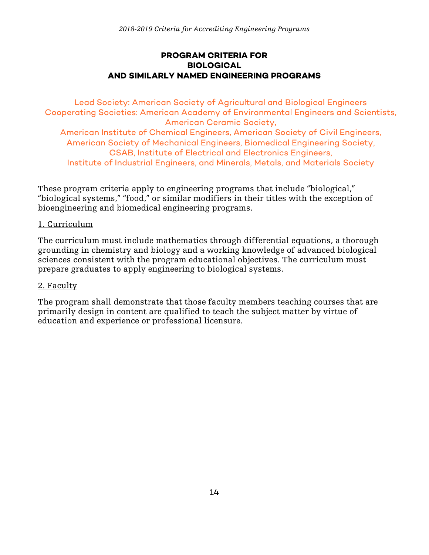## **PROGRAM CRITERIA FOR BIOLOGICAL AND SIMILARLY NAMED ENGINEERING PROGRAMS**

<span id="page-15-0"></span>Lead Society: American Society of Agricultural and Biological Engineers Cooperating Societies: American Academy of Environmental Engineers and Scientists, American Ceramic Society, American Institute of Chemical Engineers, American Society of Civil Engineers, American Society of Mechanical Engineers, Biomedical Engineering Society, CSAB, Institute of Electrical and Electronics Engineers,

Institute of Industrial Engineers, and Minerals, Metals, and Materials Society

These program criteria apply to engineering programs that include "biological," "biological systems," "food," or similar modifiers in their titles with the exception of bioengineering and biomedical engineering programs.

## 1. Curriculum

The curriculum must include mathematics through differential equations, a thorough grounding in chemistry and biology and a working knowledge of advanced biological sciences consistent with the program educational objectives. The curriculum must prepare graduates to apply engineering to biological systems.

## 2. Faculty

The program shall demonstrate that those faculty members teaching courses that are primarily design in content are qualified to teach the subject matter by virtue of education and experience or professional licensure.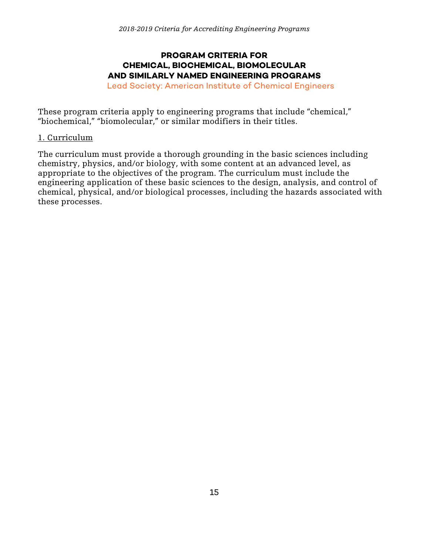#### **PROGRAM CRITERIA FOR CHEMICAL, BIOCHEMICAL, BIOMOLECULAR AND SIMILARLY NAMED ENGINEERING PROGRAMS**

Lead Society: American Institute of Chemical Engineers

<span id="page-16-0"></span>These program criteria apply to engineering programs that include "chemical," "biochemical," "biomolecular," or similar modifiers in their titles.

#### 1. Curriculum

The curriculum must provide a thorough grounding in the basic sciences including chemistry, physics, and/or biology, with some content at an advanced level, as appropriate to the objectives of the program. The curriculum must include the engineering application of these basic sciences to the design, analysis, and control of chemical, physical, and/or biological processes, including the hazards associated with these processes.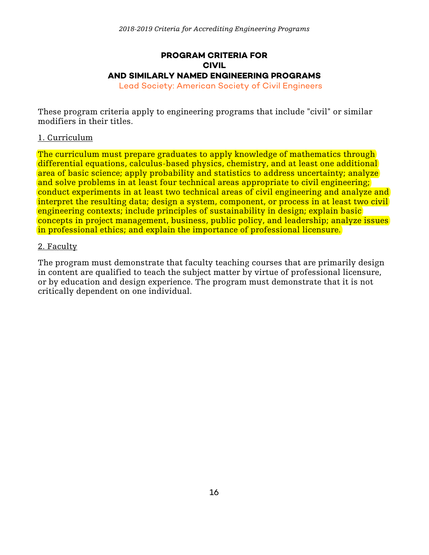#### **PROGRAM CRITERIA FOR CIVIL AND SIMILARLY NAMED ENGINEERING PROGRAMS**

Lead Society: American Society of Civil Engineers

<span id="page-17-0"></span>These program criteria apply to engineering programs that include "civil" or similar modifiers in their titles.

#### 1. Curriculum

The curriculum must prepare graduates to apply knowledge of mathematics through differential equations, calculus-based physics, chemistry, and at least one additional area of basic science; apply probability and statistics to address uncertainty; analyze and solve problems in at least four technical areas appropriate to civil engineering; conduct experiments in at least two technical areas of civil engineering and analyze and interpret the resulting data; design a system, component, or process in at least two civil engineering contexts; include principles of sustainability in design; explain basic concepts in project management, business, public policy, and leadership; analyze issues in professional ethics; and explain the importance of professional licensure.

#### 2. Faculty

The program must demonstrate that faculty teaching courses that are primarily design in content are qualified to teach the subject matter by virtue of professional licensure, or by education and design experience. The program must demonstrate that it is not critically dependent on one individual.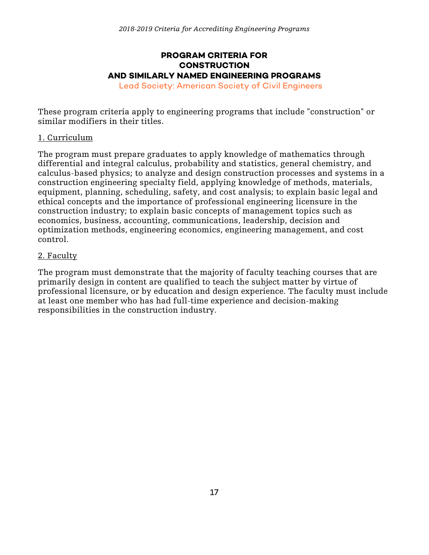#### **PROGRAM CRITERIA FOR CONSTRUCTION AND SIMILARLY NAMED ENGINEERING PROGRAMS**

Lead Society: American Society of Civil Engineers

<span id="page-18-0"></span>These program criteria apply to engineering programs that include "construction" or similar modifiers in their titles.

## 1. Curriculum

The program must prepare graduates to apply knowledge of mathematics through differential and integral calculus, probability and statistics, general chemistry, and calculus-based physics; to analyze and design construction processes and systems in a construction engineering specialty field, applying knowledge of methods, materials, equipment, planning, scheduling, safety, and cost analysis; to explain basic legal and ethical concepts and the importance of professional engineering licensure in the construction industry; to explain basic concepts of management topics such as economics, business, accounting, communications, leadership, decision and optimization methods, engineering economics, engineering management, and cost control.

## 2. Faculty

The program must demonstrate that the majority of faculty teaching courses that are primarily design in content are qualified to teach the subject matter by virtue of professional licensure, or by education and design experience. The faculty must include at least one member who has had full-time experience and decision-making responsibilities in the construction industry.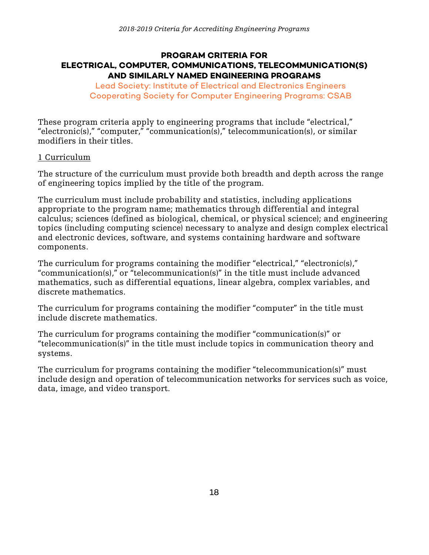#### <span id="page-19-0"></span>**PROGRAM CRITERIA FOR ELECTRICAL, COMPUTER, COMMUNICATIONS, TELECOMMUNICATION(S) AND SIMILARLY NAMED ENGINEERING PROGRAMS**

Lead Society: Institute of Electrical and Electronics Engineers Cooperating Society for Computer Engineering Programs: CSAB

These program criteria apply to engineering programs that include "electrical," "electronic(s)," "computer," "communication(s)," telecommunication(s), or similar modifiers in their titles.

## 1 Curriculum

The structure of the curriculum must provide both breadth and depth across the range of engineering topics implied by the title of the program.

The curriculum must include probability and statistics, including applications appropriate to the program name; mathematics through differential and integral calculus; sciences (defined as biological, chemical, or physical science); and engineering topics (including computing science) necessary to analyze and design complex electrical and electronic devices, software, and systems containing hardware and software components.

The curriculum for programs containing the modifier "electrical," "electronic(s)," "communication(s)," or "telecommunication(s)" in the title must include advanced mathematics, such as differential equations, linear algebra, complex variables, and discrete mathematics.

The curriculum for programs containing the modifier "computer" in the title must include discrete mathematics.

The curriculum for programs containing the modifier "communication(s)" or "telecommunication(s)" in the title must include topics in communication theory and systems.

The curriculum for programs containing the modifier "telecommunication(s)" must include design and operation of telecommunication networks for services such as voice, data, image, and video transport.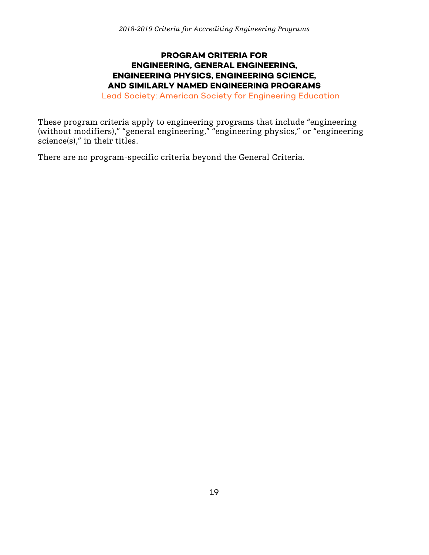## **PROGRAM CRITERIA FOR ENGINEERING, GENERAL ENGINEERING, ENGINEERING PHYSICS, ENGINEERING SCIENCE, AND SIMILARLY NAMED ENGINEERING PROGRAMS**

Lead Society: American Society for Engineering Education

<span id="page-20-0"></span>These program criteria apply to engineering programs that include "engineering (without modifiers)," "general engineering," "engineering physics," or "engineering science(s)," in their titles.

There are no program-specific criteria beyond the General Criteria.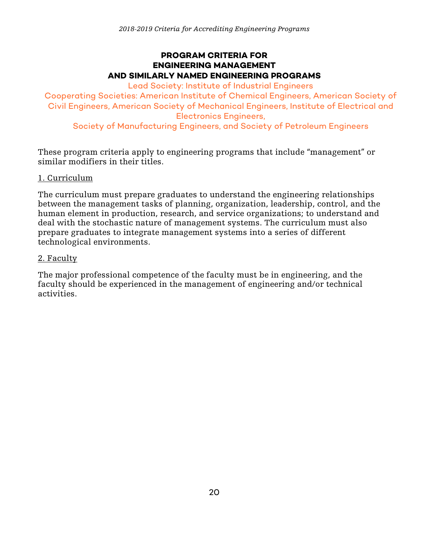#### **PROGRAM CRITERIA FOR ENGINEERING MANAGEMENT AND SIMILARLY NAMED ENGINEERING PROGRAMS**

Lead Society: Institute of Industrial Engineers

<span id="page-21-0"></span>Cooperating Societies: American Institute of Chemical Engineers, American Society of Civil Engineers, American Society of Mechanical Engineers, Institute of Electrical and Electronics Engineers,

Society of Manufacturing Engineers, and Society of Petroleum Engineers

These program criteria apply to engineering programs that include "management" or similar modifiers in their titles.

## 1. Curriculum

The curriculum must prepare graduates to understand the engineering relationships between the management tasks of planning, organization, leadership, control, and the human element in production, research, and service organizations; to understand and deal with the stochastic nature of management systems. The curriculum must also prepare graduates to integrate management systems into a series of different technological environments.

## 2. Faculty

The major professional competence of the faculty must be in engineering, and the faculty should be experienced in the management of engineering and/or technical activities.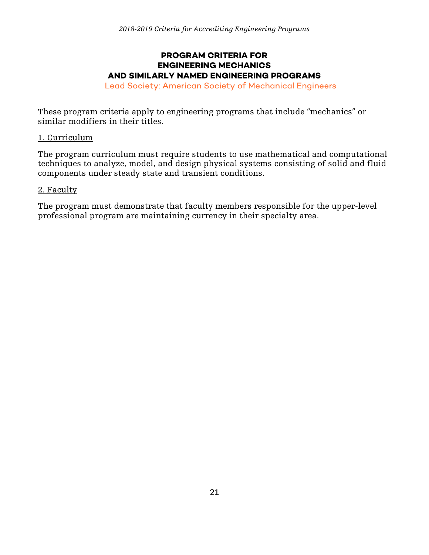#### **PROGRAM CRITERIA FOR ENGINEERING MECHANICS AND SIMILARLY NAMED ENGINEERING PROGRAMS**

Lead Society: American Society of Mechanical Engineers

<span id="page-22-0"></span>These program criteria apply to engineering programs that include "mechanics" or similar modifiers in their titles.

#### 1. Curriculum

The program curriculum must require students to use mathematical and computational techniques to analyze, model, and design physical systems consisting of solid and fluid components under steady state and transient conditions.

#### 2. Faculty

The program must demonstrate that faculty members responsible for the upper-level professional program are maintaining currency in their specialty area.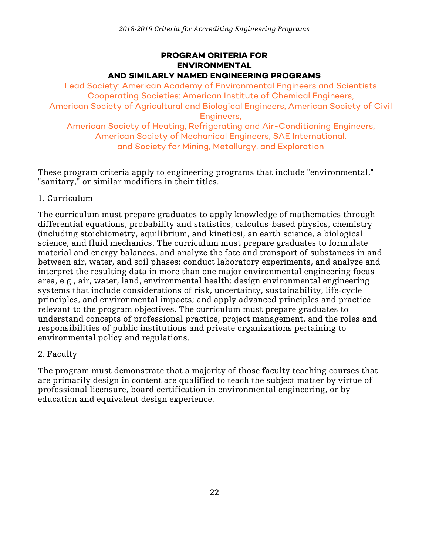#### **PROGRAM CRITERIA FOR ENVIRONMENTAL AND SIMILARLY NAMED ENGINEERING PROGRAMS**

<span id="page-23-0"></span>Lead Society: American Academy of Environmental Engineers and Scientists Cooperating Societies: American Institute of Chemical Engineers, American Society of Agricultural and Biological Engineers, American Society of Civil Engineers,

American Society of Heating, Refrigerating and Air-Conditioning Engineers, American Society of Mechanical Engineers, SAE International, and Society for Mining, Metallurgy, and Exploration

These program criteria apply to engineering programs that include "environmental," "sanitary," or similar modifiers in their titles.

## 1. Curriculum

The curriculum must prepare graduates to apply knowledge of mathematics through differential equations, probability and statistics, calculus-based physics, chemistry (including stoichiometry, equilibrium, and kinetics), an earth science, a biological science, and fluid mechanics. The curriculum must prepare graduates to formulate material and energy balances, and analyze the fate and transport of substances in and between air, water, and soil phases; conduct laboratory experiments, and analyze and interpret the resulting data in more than one major environmental engineering focus area, e.g., air, water, land, environmental health; design environmental engineering systems that include considerations of risk, uncertainty, sustainability, life-cycle principles, and environmental impacts; and apply advanced principles and practice relevant to the program objectives. The curriculum must prepare graduates to understand concepts of professional practice, project management, and the roles and responsibilities of public institutions and private organizations pertaining to environmental policy and regulations.

## 2. Faculty

The program must demonstrate that a majority of those faculty teaching courses that are primarily design in content are qualified to teach the subject matter by virtue of professional licensure, board certification in environmental engineering, or by education and equivalent design experience.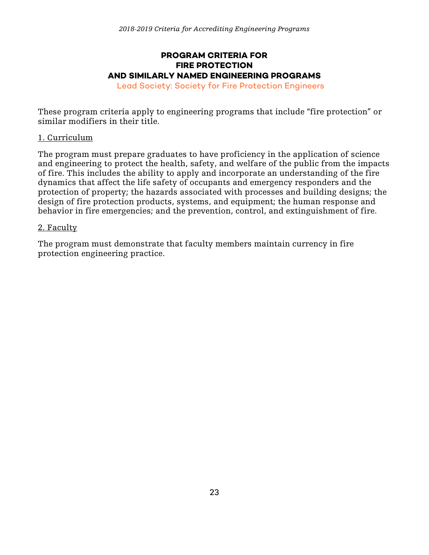#### **PROGRAM CRITERIA FOR FIRE PROTECTION AND SIMILARLY NAMED ENGINEERING PROGRAMS**

Lead Society: Society for Fire Protection Engineers

<span id="page-24-0"></span>These program criteria apply to engineering programs that include "fire protection" or similar modifiers in their title.

#### 1. Curriculum

The program must prepare graduates to have proficiency in the application of science and engineering to protect the health, safety, and welfare of the public from the impacts of fire. This includes the ability to apply and incorporate an understanding of the fire dynamics that affect the life safety of occupants and emergency responders and the protection of property; the hazards associated with processes and building designs; the design of fire protection products, systems, and equipment; the human response and behavior in fire emergencies; and the prevention, control, and extinguishment of fire.

#### 2. Faculty

The program must demonstrate that faculty members maintain currency in fire protection engineering practice.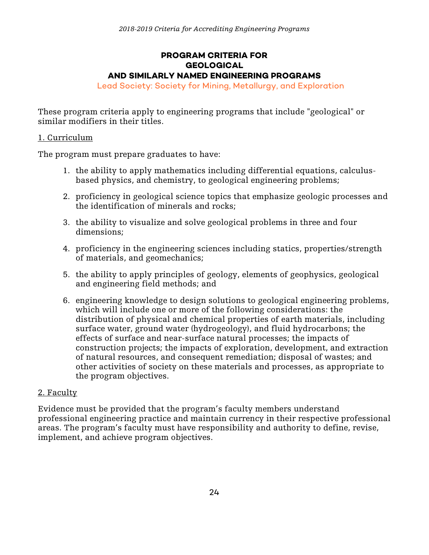#### **PROGRAM CRITERIA FOR GEOLOGICAL AND SIMILARLY NAMED ENGINEERING PROGRAMS**

Lead Society: Society for Mining, Metallurgy, and Exploration

<span id="page-25-0"></span>These program criteria apply to engineering programs that include "geological" or similar modifiers in their titles.

#### 1. Curriculum

The program must prepare graduates to have:

- 1. the ability to apply mathematics including differential equations, calculusbased physics, and chemistry, to geological engineering problems;
- 2. proficiency in geological science topics that emphasize geologic processes and the identification of minerals and rocks;
- 3. the ability to visualize and solve geological problems in three and four dimensions;
- 4. proficiency in the engineering sciences including statics, properties/strength of materials, and geomechanics;
- 5. the ability to apply principles of geology, elements of geophysics, geological and engineering field methods; and
- 6. engineering knowledge to design solutions to geological engineering problems, which will include one or more of the following considerations: the distribution of physical and chemical properties of earth materials, including surface water, ground water (hydrogeology), and fluid hydrocarbons; the effects of surface and near-surface natural processes; the impacts of construction projects; the impacts of exploration, development, and extraction of natural resources, and consequent remediation; disposal of wastes; and other activities of society on these materials and processes, as appropriate to the program objectives.

## 2. Faculty

Evidence must be provided that the program's faculty members understand professional engineering practice and maintain currency in their respective professional areas. The program's faculty must have responsibility and authority to define, revise, implement, and achieve program objectives.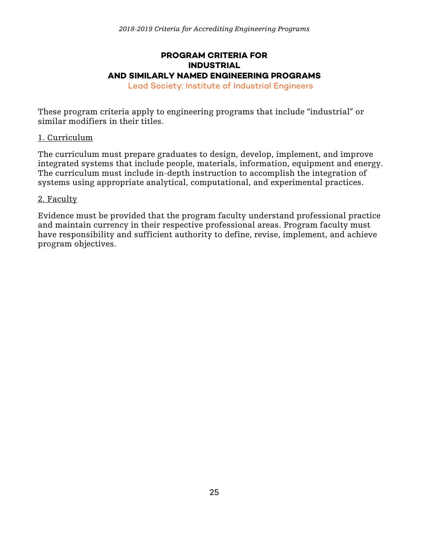#### **PROGRAM CRITERIA FOR INDUSTRIAL AND SIMILARLY NAMED ENGINEERING PROGRAMS**

Lead Society: Institute of Industrial Engineers

<span id="page-26-0"></span>These program criteria apply to engineering programs that include "industrial" or similar modifiers in their titles.

#### 1. Curriculum

The curriculum must prepare graduates to design, develop, implement, and improve integrated systems that include people, materials, information, equipment and energy. The curriculum must include in-depth instruction to accomplish the integration of systems using appropriate analytical, computational, and experimental practices.

#### 2. Faculty

Evidence must be provided that the program faculty understand professional practice and maintain currency in their respective professional areas. Program faculty must have responsibility and sufficient authority to define, revise, implement, and achieve program objectives.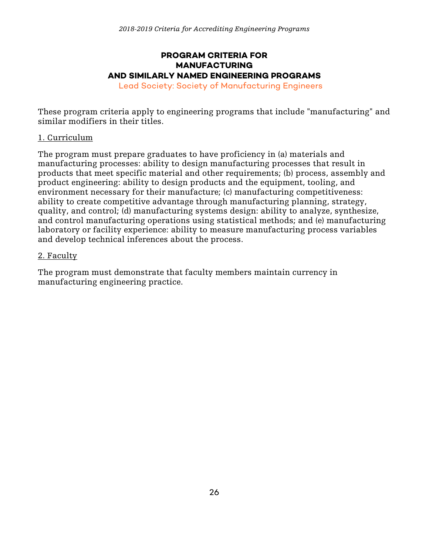#### **PROGRAM CRITERIA FOR MANUFACTURING AND SIMILARLY NAMED ENGINEERING PROGRAMS**

Lead Society: Society of Manufacturing Engineers

<span id="page-27-0"></span>These program criteria apply to engineering programs that include "manufacturing" and similar modifiers in their titles.

#### 1. Curriculum

The program must prepare graduates to have proficiency in (a) materials and manufacturing processes: ability to design manufacturing processes that result in products that meet specific material and other requirements; (b) process, assembly and product engineering: ability to design products and the equipment, tooling, and environment necessary for their manufacture; (c) manufacturing competitiveness: ability to create competitive advantage through manufacturing planning, strategy, quality, and control; (d) manufacturing systems design: ability to analyze, synthesize, and control manufacturing operations using statistical methods; and (e) manufacturing laboratory or facility experience: ability to measure manufacturing process variables and develop technical inferences about the process.

#### 2. Faculty

The program must demonstrate that faculty members maintain currency in manufacturing engineering practice.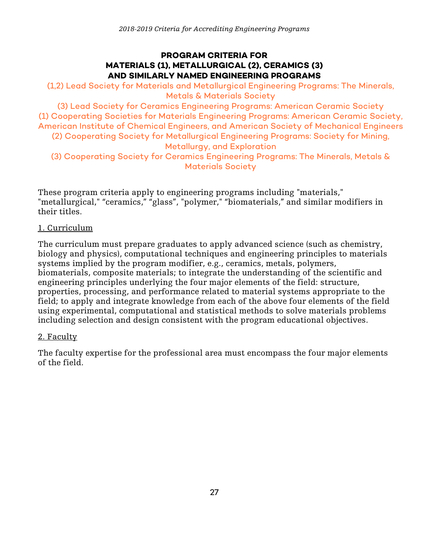## **PROGRAM CRITERIA FOR MATERIALS (1), METALLURGICAL (2), CERAMICS (3) AND SIMILARLY NAMED ENGINEERING PROGRAMS**

<span id="page-28-0"></span>(1,2) Lead Society for Materials and Metallurgical Engineering Programs: The Minerals, Metals & Materials Society

(3) Lead Society for Ceramics Engineering Programs: American Ceramic Society (1) Cooperating Societies for Materials Engineering Programs: American Ceramic Society, American Institute of Chemical Engineers, and American Society of Mechanical Engineers (2) Cooperating Society for Metallurgical Engineering Programs: Society for Mining,

- Metallurgy, and Exploration
- (3) Cooperating Society for Ceramics Engineering Programs: The Minerals, Metals & Materials Society

These program criteria apply to engineering programs including "materials," "metallurgical," "ceramics," "glass", "polymer," "biomaterials," and similar modifiers in their titles.

## 1. Curriculum

The curriculum must prepare graduates to apply advanced science (such as chemistry, biology and physics), computational techniques and engineering principles to materials systems implied by the program modifier, e.g., ceramics, metals, polymers, biomaterials, composite materials; to integrate the understanding of the scientific and engineering principles underlying the four major elements of the field: structure, properties, processing, and performance related to material systems appropriate to the field; to apply and integrate knowledge from each of the above four elements of the field using experimental, computational and statistical methods to solve materials problems including selection and design consistent with the program educational objectives.

## 2. Faculty

The faculty expertise for the professional area must encompass the four major elements of the field.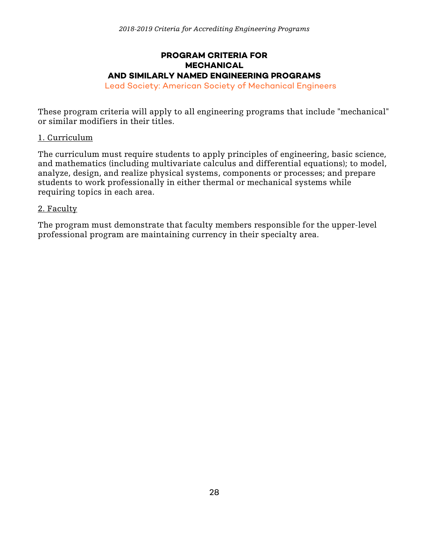#### **PROGRAM CRITERIA FOR MECHANICAL AND SIMILARLY NAMED ENGINEERING PROGRAMS**

Lead Society: American Society of Mechanical Engineers

<span id="page-29-0"></span>These program criteria will apply to all engineering programs that include "mechanical" or similar modifiers in their titles.

#### 1. Curriculum

The curriculum must require students to apply principles of engineering, basic science, and mathematics (including multivariate calculus and differential equations); to model, analyze, design, and realize physical systems, components or processes; and prepare students to work professionally in either thermal or mechanical systems while requiring topics in each area.

#### 2. Faculty

The program must demonstrate that faculty members responsible for the upper-level professional program are maintaining currency in their specialty area.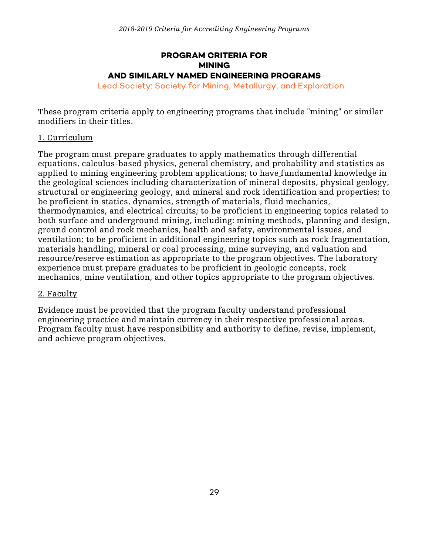#### **PROGRAM CRITERIA FOR MINING AND SIMILARLY NAMED ENGINEERING PROGRAMS**

Lead Society: Society for Mining, Metallurgy, and Exploration

<span id="page-30-0"></span>These program criteria apply to engineering programs that include "mining" or similar modifiers in their titles.

#### 1. Curriculum

The program must prepare graduates to apply mathematics through differential equations, calculus-based physics, general chemistry, and probability and statistics as applied to mining engineering problem applications; to have fundamental knowledge in the geological sciences including characterization of mineral deposits, physical geology, structural or engineering geology, and mineral and rock identification and properties; to be proficient in statics, dynamics, strength of materials, fluid mechanics, thermodynamics, and electrical circuits; to be proficient in engineering topics related to both surface and underground mining, including: mining methods, planning and design, ground control and rock mechanics, health and safety, environmental issues, and ventilation; to be proficient in additional engineering topics such as rock fragmentation, materials handling, mineral or coal processing, mine surveying, and valuation and resource/reserve estimation as appropriate to the program objectives. The laboratory experience must prepare graduates to be proficient in geologic concepts, rock mechanics, mine ventilation, and other topics appropriate to the program objectives.

## 2. Faculty

Evidence must be provided that the program faculty understand professional engineering practice and maintain currency in their respective professional areas. Program faculty must have responsibility and authority to define, revise, implement, and achieve program objectives.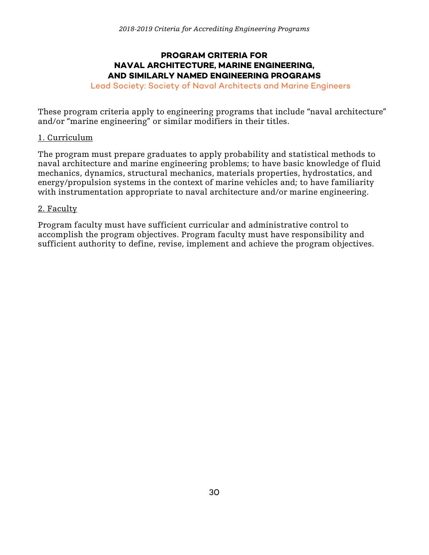#### **PROGRAM CRITERIA FOR NAVAL ARCHITECTURE, MARINE ENGINEERING, AND SIMILARLY NAMED ENGINEERING PROGRAMS**

Lead Society: Society of Naval Architects and Marine Engineers

<span id="page-31-0"></span>These program criteria apply to engineering programs that include "naval architecture" and/or "marine engineering" or similar modifiers in their titles.

#### 1. Curriculum

The program must prepare graduates to apply probability and statistical methods to naval architecture and marine engineering problems; to have basic knowledge of fluid mechanics, dynamics, structural mechanics, materials properties, hydrostatics, and energy/propulsion systems in the context of marine vehicles and; to have familiarity with instrumentation appropriate to naval architecture and/or marine engineering.

#### 2. Faculty

Program faculty must have sufficient curricular and administrative control to accomplish the program objectives. Program faculty must have responsibility and sufficient authority to define, revise, implement and achieve the program objectives.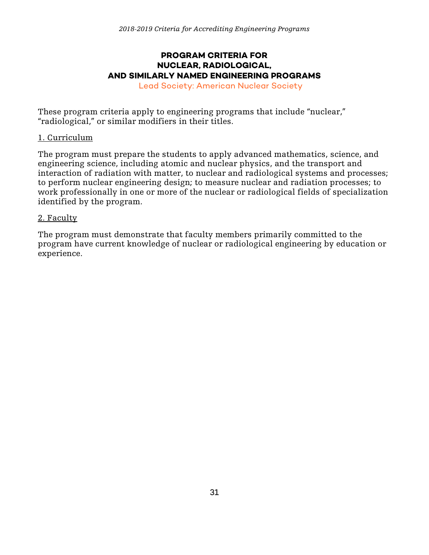#### **PROGRAM CRITERIA FOR NUCLEAR, RADIOLOGICAL, AND SIMILARLY NAMED ENGINEERING PROGRAMS**

Lead Society: American Nuclear Society

<span id="page-32-0"></span>These program criteria apply to engineering programs that include "nuclear," "radiological," or similar modifiers in their titles.

#### 1. Curriculum

The program must prepare the students to apply advanced mathematics, science, and engineering science, including atomic and nuclear physics, and the transport and interaction of radiation with matter, to nuclear and radiological systems and processes; to perform nuclear engineering design; to measure nuclear and radiation processes; to work professionally in one or more of the nuclear or radiological fields of specialization identified by the program.

#### 2. Faculty

The program must demonstrate that faculty members primarily committed to the program have current knowledge of nuclear or radiological engineering by education or experience.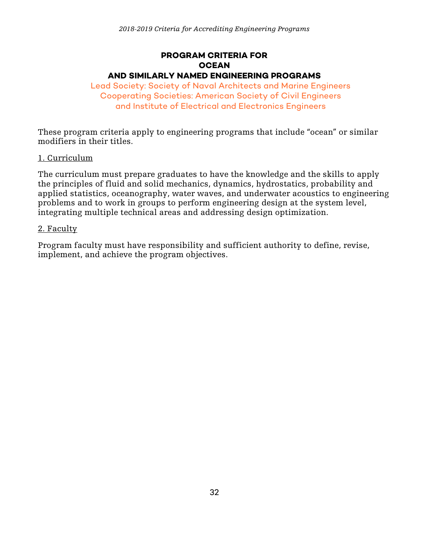## **PROGRAM CRITERIA FOR OCEAN**

## **AND SIMILARLY NAMED ENGINEERING PROGRAMS**

<span id="page-33-0"></span>Lead Society: Society of Naval Architects and Marine Engineers Cooperating Societies: American Society of Civil Engineers and Institute of Electrical and Electronics Engineers

These program criteria apply to engineering programs that include "ocean" or similar modifiers in their titles.

## 1. Curriculum

The curriculum must prepare graduates to have the knowledge and the skills to apply the principles of fluid and solid mechanics, dynamics, hydrostatics, probability and applied statistics, oceanography, water waves, and underwater acoustics to engineering problems and to work in groups to perform engineering design at the system level, integrating multiple technical areas and addressing design optimization.

#### 2. Faculty

Program faculty must have responsibility and sufficient authority to define, revise, implement, and achieve the program objectives.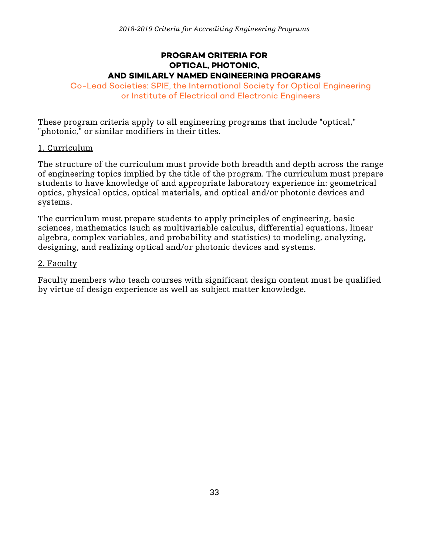#### **PROGRAM CRITERIA FOR OPTICAL, PHOTONIC, AND SIMILARLY NAMED ENGINEERING PROGRAMS**

<span id="page-34-0"></span>Co-Lead Societies: SPIE, the International Society for Optical Engineering or Institute of Electrical and Electronic Engineers

These program criteria apply to all engineering programs that include "optical," "photonic," or similar modifiers in their titles.

## 1. Curriculum

The structure of the curriculum must provide both breadth and depth across the range of engineering topics implied by the title of the program. The curriculum must prepare students to have knowledge of and appropriate laboratory experience in: geometrical optics, physical optics, optical materials, and optical and/or photonic devices and systems.

The curriculum must prepare students to apply principles of engineering, basic sciences, mathematics (such as multivariable calculus, differential equations, linear algebra, complex variables, and probability and statistics) to modeling, analyzing, designing, and realizing optical and/or photonic devices and systems.

## 2. Faculty

Faculty members who teach courses with significant design content must be qualified by virtue of design experience as well as subject matter knowledge.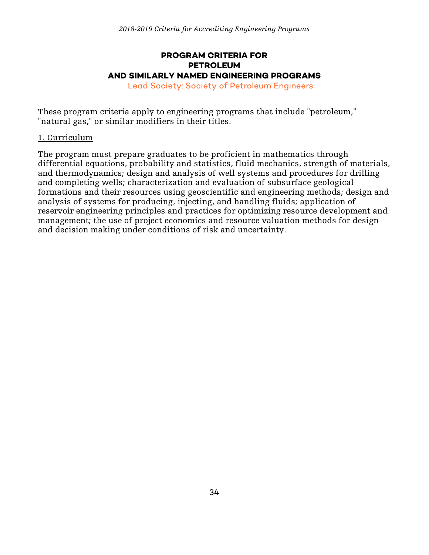#### **PROGRAM CRITERIA FOR PETROLEUM AND SIMILARLY NAMED ENGINEERING PROGRAMS**

Lead Society: Society of Petroleum Engineers

<span id="page-35-0"></span>These program criteria apply to engineering programs that include "petroleum," "natural gas," or similar modifiers in their titles.

#### 1. Curriculum

The program must prepare graduates to be proficient in mathematics through differential equations, probability and statistics, fluid mechanics, strength of materials, and thermodynamics; design and analysis of well systems and procedures for drilling and completing wells; characterization and evaluation of subsurface geological formations and their resources using geoscientific and engineering methods; design and analysis of systems for producing, injecting, and handling fluids; application of reservoir engineering principles and practices for optimizing resource development and management; the use of project economics and resource valuation methods for design and decision making under conditions of risk and uncertainty.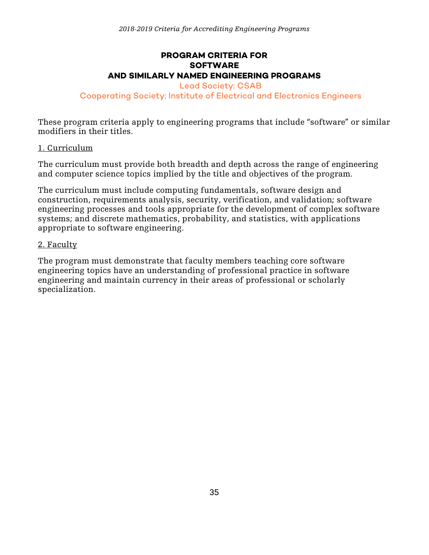#### **PROGRAM CRITERIA FOR SOFTWARE AND SIMILARLY NAMED ENGINEERING PROGRAMS**

## Lead Society: CSAB

## <span id="page-36-0"></span>Cooperating Society: Institute of Electrical and Electronics Engineers

These program criteria apply to engineering programs that include "software" or similar modifiers in their titles.

#### 1. Curriculum

The curriculum must provide both breadth and depth across the range of engineering and computer science topics implied by the title and objectives of the program.

The curriculum must include computing fundamentals, software design and construction, requirements analysis, security, verification, and validation; software engineering processes and tools appropriate for the development of complex software systems; and discrete mathematics, probability, and statistics, with applications appropriate to software engineering.

#### 2. Faculty

The program must demonstrate that faculty members teaching core software engineering topics have an understanding of professional practice in software engineering and maintain currency in their areas of professional or scholarly specialization.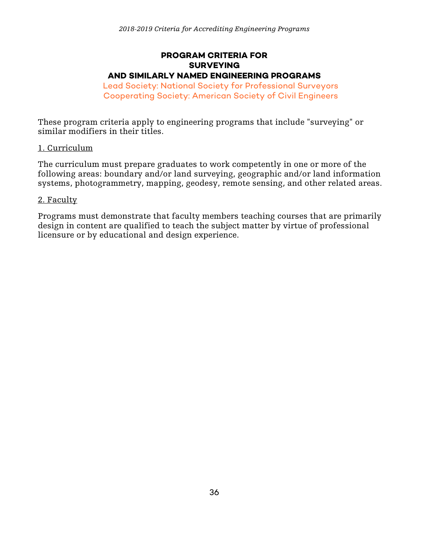#### **PROGRAM CRITERIA FOR SURVEYING AND SIMILARLY NAMED ENGINEERING PROGRAMS**

Lead Society: National Society for Professional Surveyors Cooperating Society: American Society of Civil Engineers

<span id="page-37-0"></span>These program criteria apply to engineering programs that include "surveying" or similar modifiers in their titles.

## 1. Curriculum

The curriculum must prepare graduates to work competently in one or more of the following areas: boundary and/or land surveying, geographic and/or land information systems, photogrammetry, mapping, geodesy, remote sensing, and other related areas.

## 2. Faculty

Programs must demonstrate that faculty members teaching courses that are primarily design in content are qualified to teach the subject matter by virtue of professional licensure or by educational and design experience.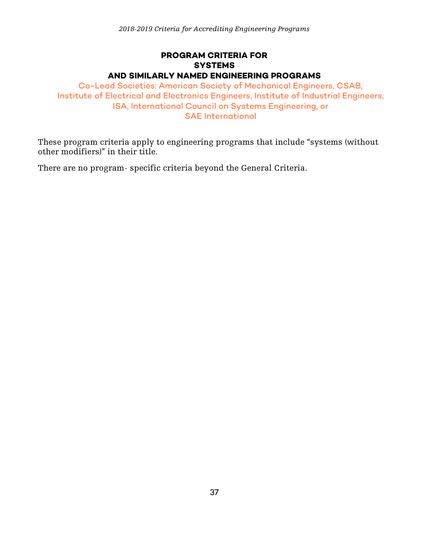#### **PROGRAM CRITERIA FOR SYSTEMS AND SIMILARLY NAMED ENGINEERING PROGRAMS**

<span id="page-38-0"></span>Co-Lead Societies: American Society of Mechanical Engineers, CSAB, Institute of Electrical and Electronics Engineers, Institute of Industrial Engineers, ISA, International Council on Systems Engineering, or SAE International

These program criteria apply to engineering programs that include "systems (without other modifiers)" in their title.

There are no program- specific criteria beyond the General Criteria.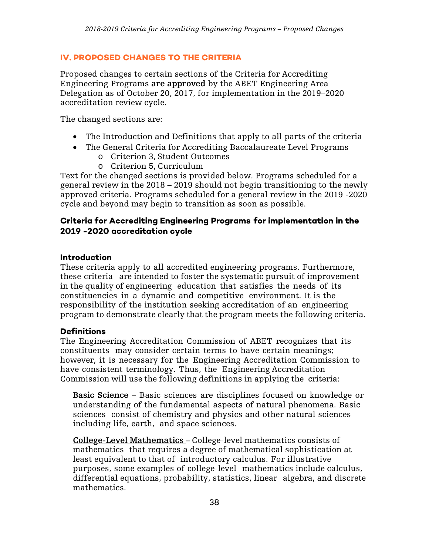## <span id="page-39-0"></span>**IV. PROPOSED CHANGES TO THE CRITERIA**

Proposed changes to certain sections of the Criteria for Accrediting Engineering Programs **are approved** by the ABET Engineering Area Delegation as of October 20, 2017, for implementation in the 2019–2020 accreditation review cycle.

The changed sections are:

- The Introduction and Definitions that apply to all parts of the criteria
- The General Criteria for Accrediting Baccalaureate Level Programs
	- o Criterion 3, Student Outcomes
	- o Criterion 5, Curriculum

Text for the changed sections is provided below. Programs scheduled for a general review in the 2018 – 2019 should not begin transitioning to the newly approved criteria. Programs scheduled for a general review in the 2019 -2020 cycle and beyond may begin to transition as soon as possible.

## **Criteria for Accrediting Engineering Programs for implementation in the 2019 -2020 accreditation cycle**

## **Introduction**

These criteria apply to all accredited engineering programs. Furthermore, these criteria are intended to foster the systematic pursuit of improvement in the quality of engineering education that satisfies the needs of its constituencies in a dynamic and competitive environment. It is the responsibility of the institution seeking accreditation of an engineering program to demonstrate clearly that the program meets the following criteria.

## **Definitions**

The Engineering Accreditation Commission of ABET recognizes that its constituents may consider certain terms to have certain meanings; however, it is necessary for the Engineering Accreditation Commission to have consistent terminology. Thus, the Engineering Accreditation Commission will use the following definitions in applying the criteria:

**Basic Science –** Basic sciences are disciplines focused on knowledge or understanding of the fundamental aspects of natural phenomena. Basic sciences consist of chemistry and physics and other natural sciences including life, earth, and space sciences.

**College-Level Mathematics –** College-level mathematics consists of mathematics that requires a degree of mathematical sophistication at least equivalent to that of introductory calculus. For illustrative purposes, some examples of college-level mathematics include calculus, differential equations, probability, statistics, linear algebra, and discrete mathematics.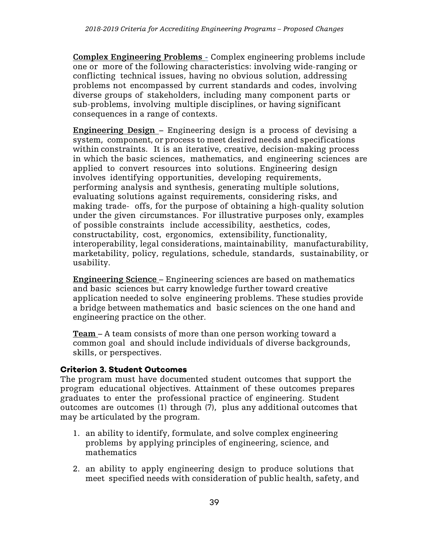**Complex Engineering Problems -** Complex engineering problems include one or more of the following characteristics: involving wide-ranging or conflicting technical issues, having no obvious solution, addressing problems not encompassed by current standards and codes, involving diverse groups of stakeholders, including many component parts or sub-problems, involving multiple disciplines, or having significant consequences in a range of contexts.

**Engineering Design –** Engineering design is a process of devising a system, component, or process to meet desired needs and specifications within constraints. It is an iterative, creative, decision-making process in which the basic sciences, mathematics, and engineering sciences are applied to convert resources into solutions. Engineering design involves identifying opportunities, developing requirements, performing analysis and synthesis, generating multiple solutions, evaluating solutions against requirements, considering risks, and making trade- offs, for the purpose of obtaining a high-quality solution under the given circumstances. For illustrative purposes only, examples of possible constraints include accessibility, aesthetics, codes, constructability, cost, ergonomics, extensibility, functionality, interoperability, legal considerations, maintainability, manufacturability, marketability, policy, regulations, schedule, standards, sustainability, or usability.

**Engineering Science –** Engineering sciences are based on mathematics and basic sciences but carry knowledge further toward creative application needed to solve engineering problems. These studies provide a bridge between mathematics and basic sciences on the one hand and engineering practice on the other.

**Team –** A team consists of more than one person working toward a common goal and should include individuals of diverse backgrounds, skills, or perspectives.

#### **Criterion 3. Student Outcomes**

The program must have documented student outcomes that support the program educational objectives. Attainment of these outcomes prepares graduates to enter the professional practice of engineering. Student outcomes are outcomes (1) through (7), plus any additional outcomes that may be articulated by the program.

- 1. an ability to identify, formulate, and solve complex engineering problems by applying principles of engineering, science, and mathematics
- 2. an ability to apply engineering design to produce solutions that meet specified needs with consideration of public health, safety, and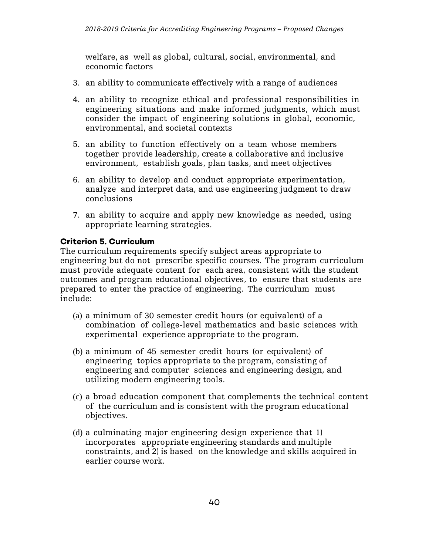welfare, as well as global, cultural, social, environmental, and economic factors

- 3. an ability to communicate effectively with a range of audiences
- 4. an ability to recognize ethical and professional responsibilities in engineering situations and make informed judgments, which must consider the impact of engineering solutions in global, economic, environmental, and societal contexts
- 5. an ability to function effectively on a team whose members together provide leadership, create a collaborative and inclusive environment, establish goals, plan tasks, and meet objectives
- 6. an ability to develop and conduct appropriate experimentation, analyze and interpret data, and use engineering judgment to draw conclusions
- 7. an ability to acquire and apply new knowledge as needed, using appropriate learning strategies.

## **Criterion 5. Curriculum**

The curriculum requirements specify subject areas appropriate to engineering but do not prescribe specific courses. The program curriculum must provide adequate content for each area, consistent with the student outcomes and program educational objectives, to ensure that students are prepared to enter the practice of engineering. The curriculum must include:

- (a) a minimum of 30 semester credit hours (or equivalent) of a combination of college-level mathematics and basic sciences with experimental experience appropriate to the program.
- (b) a minimum of 45 semester credit hours (or equivalent) of engineering topics appropriate to the program, consisting of engineering and computer sciences and engineering design, and utilizing modern engineering tools.
- (c) a broad education component that complements the technical content of the curriculum and is consistent with the program educational objectives.
- (d) a culminating major engineering design experience that 1) incorporates appropriate engineering standards and multiple constraints, and 2) is based on the knowledge and skills acquired in earlier course work.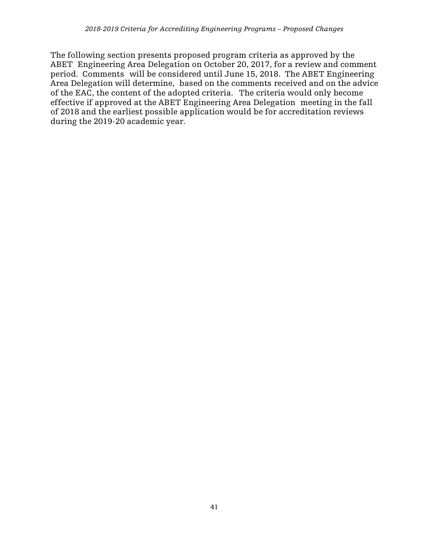The following section presents proposed program criteria as approved by the ABET Engineering Area Delegation on October 20, 2017, for a review and comment period. Comments will be considered until June 15, 2018. The ABET Engineering Area Delegation will determine, based on the comments received and on the advice of the EAC, the content of the adopted criteria. The criteria would only become effective if approved at the ABET Engineering Area Delegation meeting in the fall of 2018 and the earliest possible application would be for accreditation reviews during the 2019-20 academic year.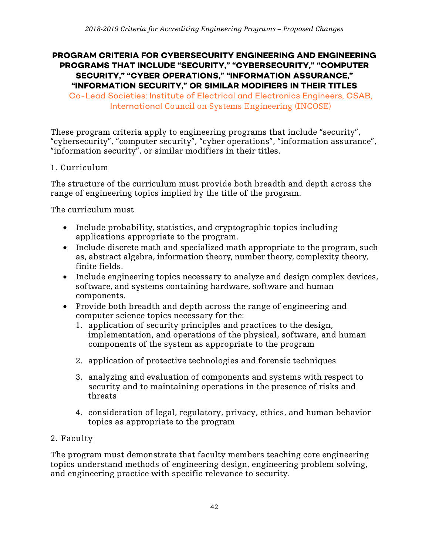## **PROGRAM CRITERIA FOR CYBERSECURITY ENGINEERING AND ENGINEERING PROGRAMS THAT INCLUDE "SECURITY," "CYBERSECURITY," "COMPUTER SECURITY," "CYBER OPERATIONS," "INFORMATION ASSURANCE," "INFORMATION SECURITY," OR SIMILAR MODIFIERS IN THEIR TITLES**

Co-Lead Societies: Institute of Electrical and Electronics Engineers, CSAB, International Council on Systems Engineering (INCOSE)

These program criteria apply to engineering programs that include "security", "cybersecurity", "computer security", "cyber operations", "information assurance", "information security", or similar modifiers in their titles.

## 1. Curriculum

The structure of the curriculum must provide both breadth and depth across the range of engineering topics implied by the title of the program.

The curriculum must

- Include probability, statistics, and cryptographic topics including applications appropriate to the program.
- Include discrete math and specialized math appropriate to the program, such as, abstract algebra, information theory, number theory, complexity theory, finite fields.
- Include engineering topics necessary to analyze and design complex devices, software, and systems containing hardware, software and human components.
- Provide both breadth and depth across the range of engineering and computer science topics necessary for the:
	- 1. application of security principles and practices to the design, implementation, and operations of the physical, software, and human components of the system as appropriate to the program
	- 2. application of protective technologies and forensic techniques
	- 3. analyzing and evaluation of components and systems with respect to security and to maintaining operations in the presence of risks and threats
	- 4. consideration of legal, regulatory, privacy, ethics, and human behavior topics as appropriate to the program

## 2. Faculty

The program must demonstrate that faculty members teaching core engineering topics understand methods of engineering design, engineering problem solving, and engineering practice with specific relevance to security.